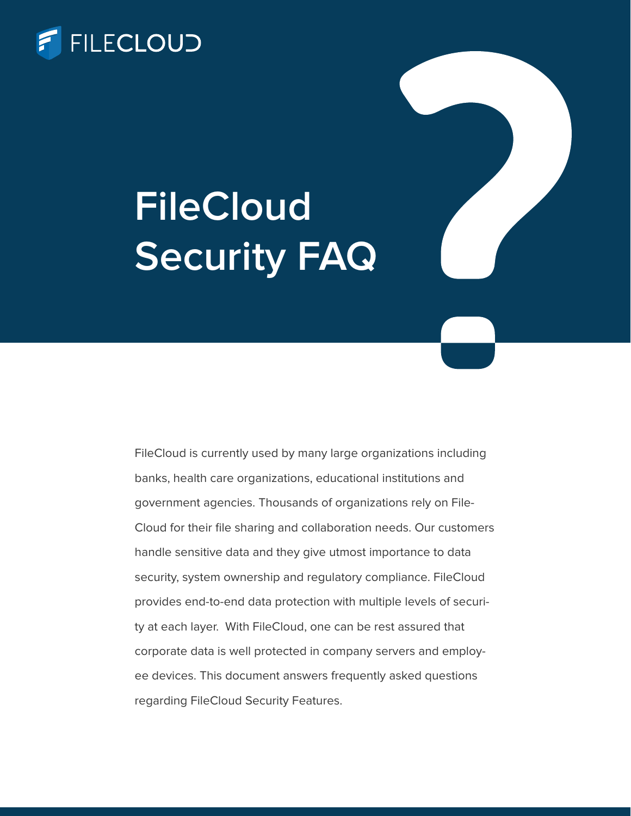

# **FileCloud Security FAQ**

FileCloud is currently used by many large organizations including banks, health care organizations, educational institutions and government agencies. Thousands of organizations rely on File-Cloud for their file sharing and collaboration needs. Our customers handle sensitive data and they give utmost importance to data security, system ownership and regulatory compliance. FileCloud provides end-to-end data protection with multiple levels of security at each layer. With FileCloud, one can be rest assured that corporate data is well protected in company servers and employee devices. This document answers frequently asked questions regarding FileCloud Security Features.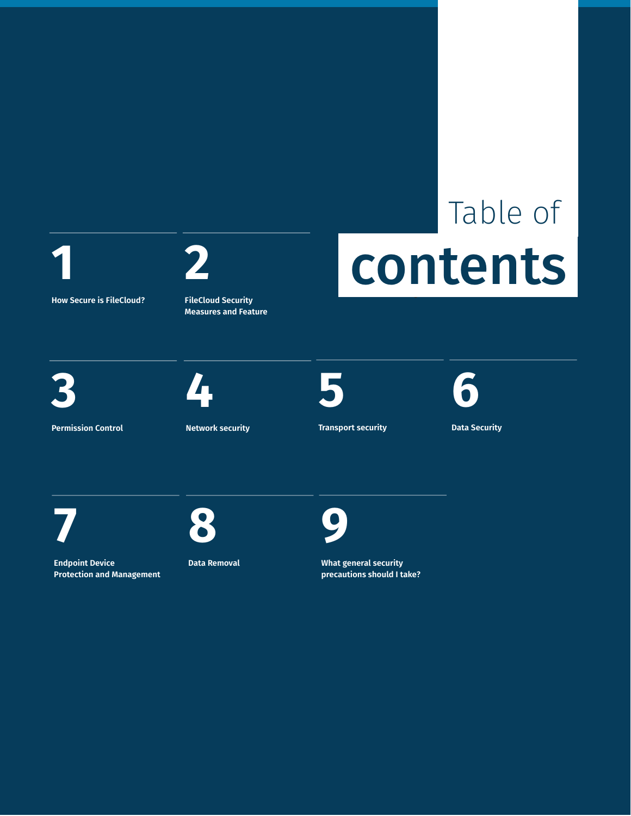

**How Secure is FileCloud?**

**2**

**FileCloud Security Measures and Feature**

# Table of contents

**3**

**Permission Control**



**Network security**



**Transport security**



**Data Security**





**Endpoint Device Protection and Management**

**Data Removal**

**9**

**What general security precautions should I take?**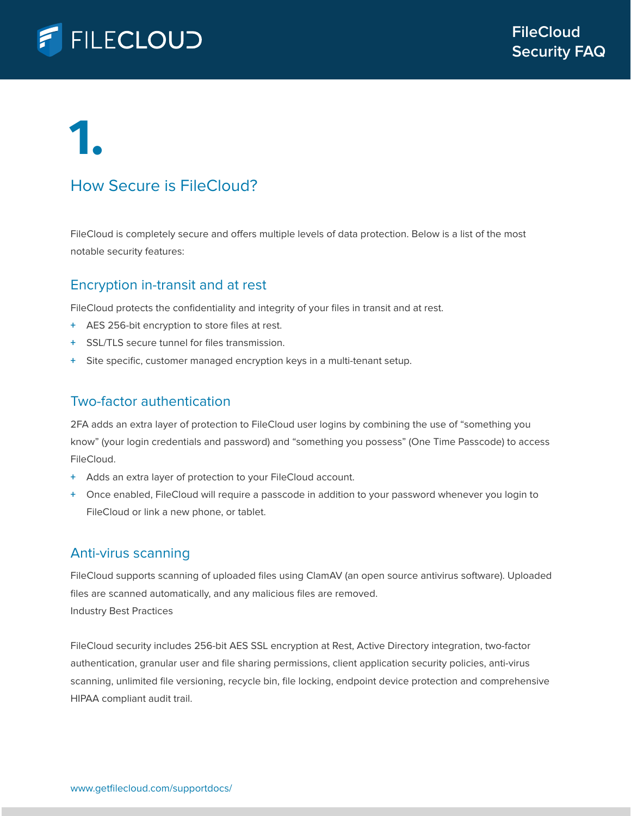

### How Secure is FileCloud?

FileCloud is completely secure and offers multiple levels of data protection. Below is a list of the most notable security features:

### Encryption in-transit and at rest

FileCloud protects the confidentiality and integrity of your files in transit and at rest.

- **+** AES 256-bit encryption to store files at rest.
- **+** SSL/TLS secure tunnel for files transmission.
- **+** Site specific, customer managed encryption keys in a multi-tenant setup.

### Two-factor authentication

2FA adds an extra layer of protection to FileCloud user logins by combining the use of "something you know" (your login credentials and password) and "something you possess" (One Time Passcode) to access FileCloud.

- **+** Adds an extra layer of protection to your FileCloud account.
- **+** Once enabled, FileCloud will require a passcode in addition to your password whenever you login to FileCloud or link a new phone, or tablet.

### Anti-virus scanning

FileCloud supports scanning of uploaded files using ClamAV (an open source antivirus software). Uploaded files are scanned automatically, and any malicious files are removed. Industry Best Practices

FileCloud security includes 256-bit AES SSL encryption at Rest, Active Directory integration, two-factor authentication, granular user and file sharing permissions, client application security policies, anti-virus scanning, unlimited file versioning, recycle bin, file locking, endpoint device protection and comprehensive HIPAA compliant audit trail.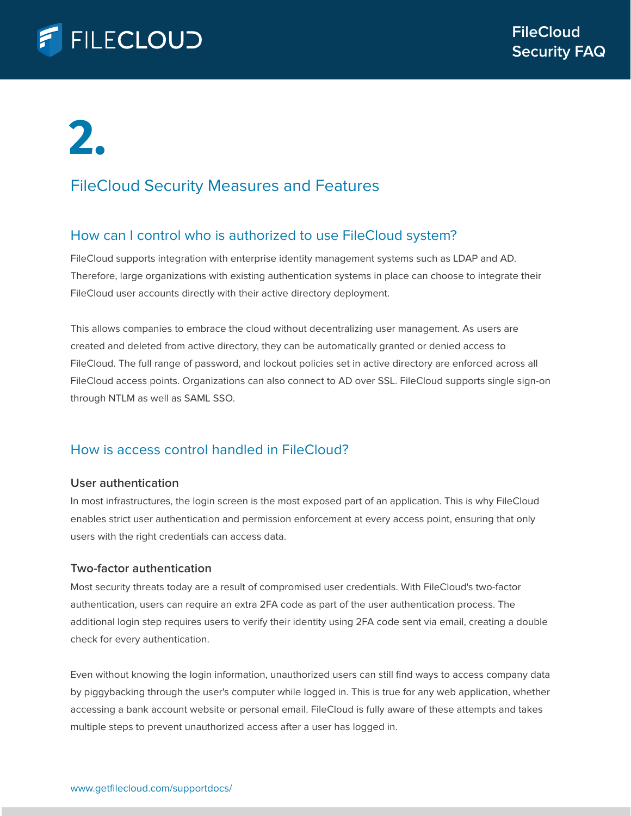

### FileCloud Security Measures and Features

### How can I control who is authorized to use FileCloud system?

FileCloud supports integration with enterprise identity management systems such as LDAP and AD. Therefore, large organizations with existing authentication systems in place can choose to integrate their FileCloud user accounts directly with their active directory deployment.

This allows companies to embrace the cloud without decentralizing user management. As users are created and deleted from active directory, they can be automatically granted or denied access to FileCloud. The full range of password, and lockout policies set in active directory are enforced across all FileCloud access points. Organizations can also connect to AD over SSL. FileCloud supports single sign-on through NTLM as well as SAML SSO.

### How is access control handled in FileCloud?

### **User authentication**

In most infrastructures, the login screen is the most exposed part of an application. This is why FileCloud enables strict user authentication and permission enforcement at every access point, ensuring that only users with the right credentials can access data.

### **Two-factor authentication**

Most security threats today are a result of compromised user credentials. With FileCloud's two-factor authentication, users can require an extra 2FA code as part of the user authentication process. The additional login step requires users to verify their identity using 2FA code sent via email, creating a double check for every authentication.

Even without knowing the login information, unauthorized users can still find ways to access company data by piggybacking through the user's computer while logged in. This is true for any web application, whether accessing a bank account website or personal email. FileCloud is fully aware of these attempts and takes multiple steps to prevent unauthorized access after a user has logged in.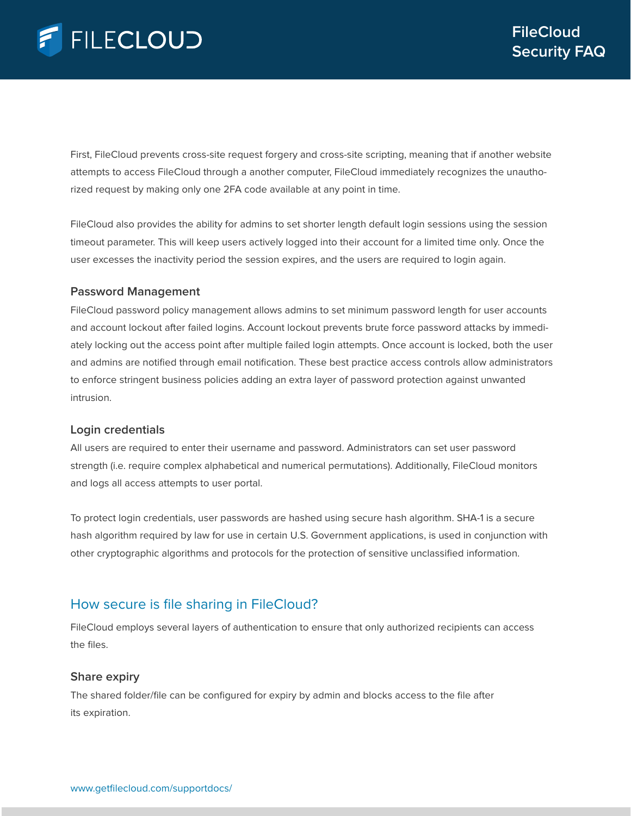First, FileCloud prevents cross-site request forgery and cross-site scripting, meaning that if another website attempts to access FileCloud through a another computer, FileCloud immediately recognizes the unauthorized request by making only one 2FA code available at any point in time.

FileCloud also provides the ability for admins to set shorter length default login sessions using the session timeout parameter. This will keep users actively logged into their account for a limited time only. Once the user excesses the inactivity period the session expires, and the users are required to login again.

### **Password Management**

FileCloud password policy management allows admins to set minimum password length for user accounts and account lockout after failed logins. Account lockout prevents brute force password attacks by immediately locking out the access point after multiple failed login attempts. Once account is locked, both the user and admins are notified through email notification. These best practice access controls allow administrators to enforce stringent business policies adding an extra layer of password protection against unwanted intrusion.

### **Login credentials**

All users are required to enter their username and password. Administrators can set user password strength (i.e. require complex alphabetical and numerical permutations). Additionally, FileCloud monitors and logs all access attempts to user portal.

To protect login credentials, user passwords are hashed using secure hash algorithm. SHA-1 is a secure hash algorithm required by law for use in certain U.S. Government applications, is used in conjunction with other cryptographic algorithms and protocols for the protection of sensitive unclassified information.

### How secure is file sharing in FileCloud?

FileCloud employs several layers of authentication to ensure that only authorized recipients can access the files.

### **Share expiry**

The shared folder/file can be configured for expiry by admin and blocks access to the file after its expiration.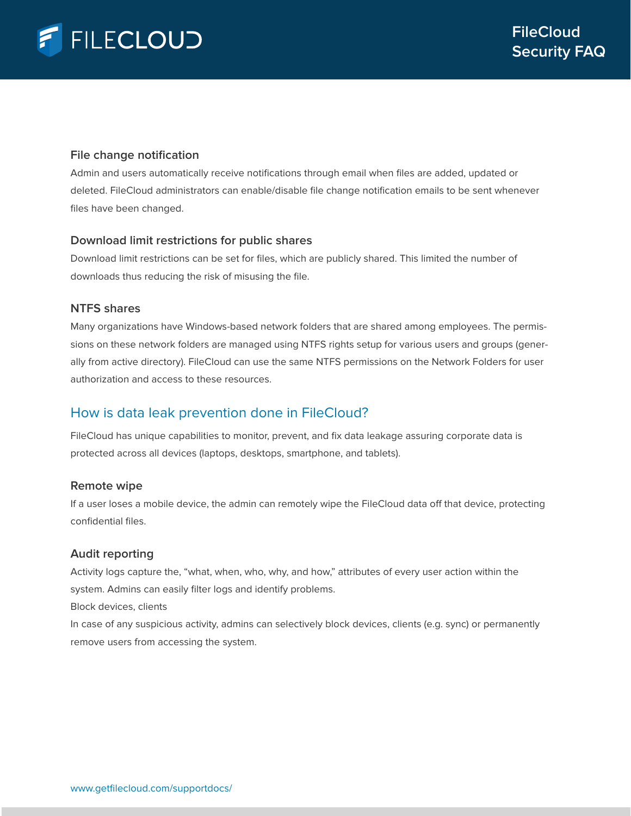### **File change notification**

Admin and users automatically receive notifications through email when files are added, updated or deleted. FileCloud administrators can enable/disable file change notification emails to be sent whenever files have been changed.

### **Download limit restrictions for public shares**

Download limit restrictions can be set for files, which are publicly shared. This limited the number of downloads thus reducing the risk of misusing the file.

### **NTFS shares**

Many organizations have Windows-based network folders that are shared among employees. The permissions on these network folders are managed using NTFS rights setup for various users and groups (generally from active directory). FileCloud can use the same NTFS permissions on the Network Folders for user authorization and access to these resources.

### How is data leak prevention done in FileCloud?

FileCloud has unique capabilities to monitor, prevent, and fix data leakage assuring corporate data is protected across all devices (laptops, desktops, smartphone, and tablets).

### **Remote wipe**

If a user loses a mobile device, the admin can remotely wipe the FileCloud data off that device, protecting confidential files.

### **Audit reporting**

Activity logs capture the, "what, when, who, why, and how," attributes of every user action within the system. Admins can easily filter logs and identify problems.

Block devices, clients

In case of any suspicious activity, admins can selectively block devices, clients (e.g. sync) or permanently remove users from accessing the system.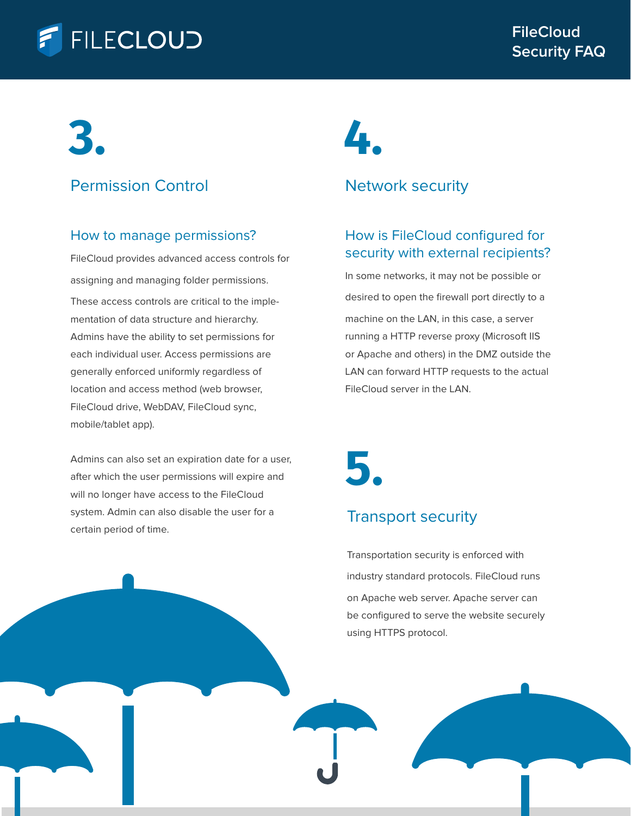### **FILECLOUD**

### **3.**

### Permission Control

### How to manage permissions?

FileCloud provides advanced access controls for assigning and managing folder permissions. These access controls are critical to the implementation of data structure and hierarchy. Admins have the ability to set permissions for each individual user. Access permissions are generally enforced uniformly regardless of location and access method (web browser, FileCloud drive, WebDAV, FileCloud sync, mobile/tablet app).

Admins can also set an expiration date for a user, after which the user permissions will expire and will no longer have access to the FileCloud system. Admin can also disable the user for a certain period of time.

# **4.**

### Network security

### How is FileCloud configured for security with external recipients?

In some networks, it may not be possible or desired to open the firewall port directly to a machine on the LAN, in this case, a server running a HTTP reverse proxy (Microsoft IIS or Apache and others) in the DMZ outside the LAN can forward HTTP requests to the actual FileCloud server in the LAN.

**5.**

### Transport security

Transportation security is enforced with industry standard protocols. FileCloud runs on Apache web server. Apache server can be configured to serve the website securely using HTTPS protocol.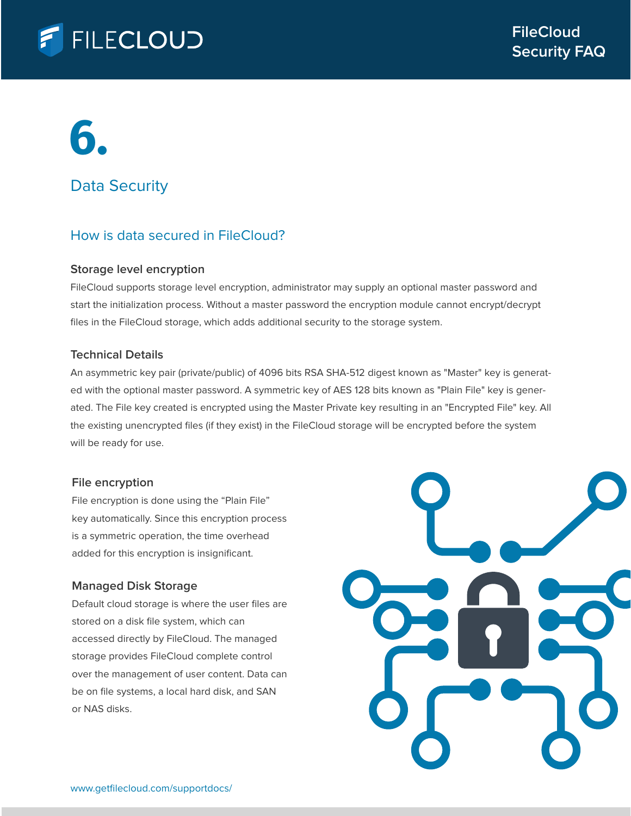

### Data Security

### How is data secured in FileCloud?

### **Storage level encryption**

FileCloud supports storage level encryption, administrator may supply an optional master password and start the initialization process. Without a master password the encryption module cannot encrypt/decrypt files in the FileCloud storage, which adds additional security to the storage system.

### **Technical Details**

An asymmetric key pair (private/public) of 4096 bits RSA SHA-512 digest known as "Master" key is generated with the optional master password. A symmetric key of AES 128 bits known as "Plain File" key is generated. The File key created is encrypted using the Master Private key resulting in an "Encrypted File" key. All the existing unencrypted files (if they exist) in the FileCloud storage will be encrypted before the system will be ready for use.

#### **File encryption**

File encryption is done using the "Plain File" key automatically. Since this encryption process is a symmetric operation, the time overhead added for this encryption is insignificant.

### **Managed Disk Storage**

Default cloud storage is where the user files are stored on a disk file system, which can accessed directly by FileCloud. The managed storage provides FileCloud complete control over the management of user content. Data can be on file systems, a local hard disk, and SAN or NAS disks.

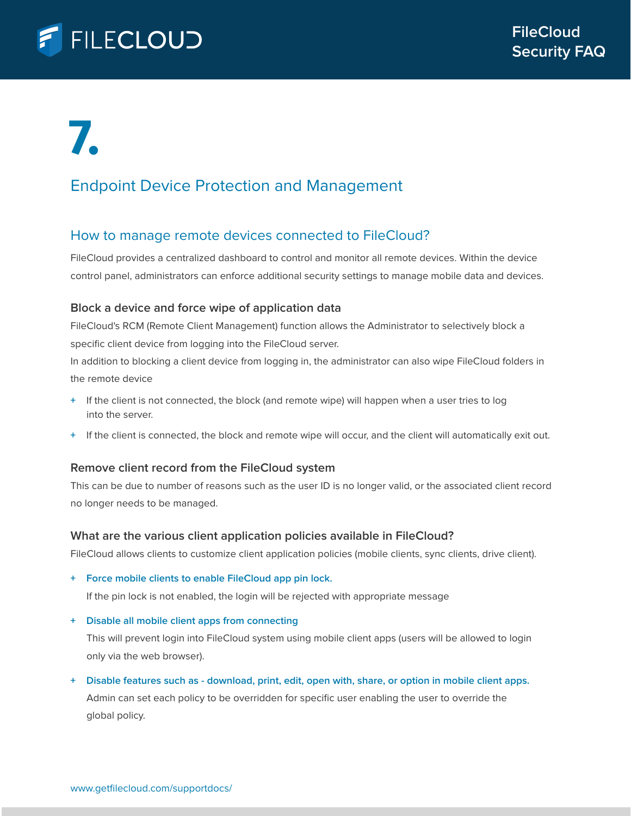

### Endpoint Device Protection and Management

### How to manage remote devices connected to FileCloud?

FileCloud provides a centralized dashboard to control and monitor all remote devices. Within the device control panel, administrators can enforce additional security settings to manage mobile data and devices.

### **Block a device and force wipe of application data**

FileCloud's RCM (Remote Client Management) function allows the Administrator to selectively block a specific client device from logging into the FileCloud server.

In addition to blocking a client device from logging in, the administrator can also wipe FileCloud folders in the remote device

- **+** If the client is not connected, the block (and remote wipe) will happen when a user tries to log into the server.
- **+** If the client is connected, the block and remote wipe will occur, and the client will automatically exit out.

### **Remove client record from the FileCloud system**

This can be due to number of reasons such as the user ID is no longer valid, or the associated client record no longer needs to be managed.

### **What are the various client application policies available in FileCloud?**

FileCloud allows clients to customize client application policies (mobile clients, sync clients, drive client).

**+ Force mobile clients to enable FileCloud app pin lock.** 

If the pin lock is not enabled, the login will be rejected with appropriate message

**+ Disable all mobile client apps from connecting**

 This will prevent login into FileCloud system using mobile client apps (users will be allowed to login only via the web browser).

**+ Disable features such as - download, print, edit, open with, share, or option in mobile client apps.** Admin can set each policy to be overridden for specific user enabling the user to override the global policy.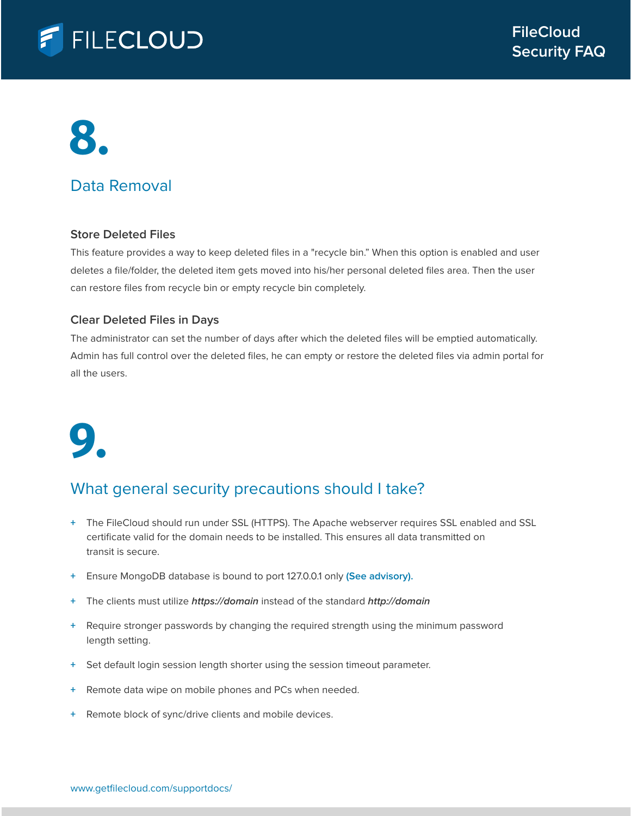

### Data Removal

### **Store Deleted Files**

This feature provides a way to keep deleted files in a "recycle bin." When this option is enabled and user deletes a file/folder, the deleted item gets moved into his/her personal deleted files area. Then the user can restore files from recycle bin or empty recycle bin completely.

### **Clear Deleted Files in Days**

The administrator can set the number of days after which the deleted files will be emptied automatically. Admin has full control over the deleted files, he can empty or restore the deleted files via admin portal for all the users.

# **9.**

### What general security precautions should I take?

- **+** The FileCloud should run under SSL (HTTPS). The Apache webserver requires SSL enabled and SSL certificate valid for the domain needs to be installed. This ensures all data transmitted on transit is secure.
- **+** Ensure MongoDB database is bound to port 127.0.0.1 only **(See advisory).**
- **+** The clients must utilize **https://domain** instead of the standard **http://domain**
- **+** Require stronger passwords by changing the required strength using the minimum password length setting.
- **+** Set default login session length shorter using the session timeout parameter.
- **+** Remote data wipe on mobile phones and PCs when needed.
- **+** Remote block of sync/drive clients and mobile devices.